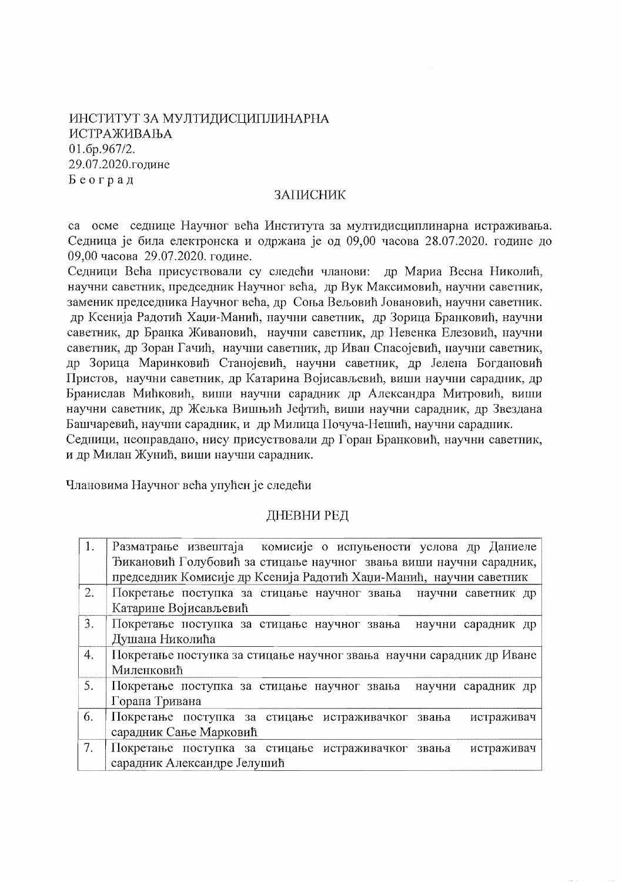ИНСТИТУТ ЗА МУЛТИДИСЦИПЛИНАРНА ИСТРАЖИВАЊА 01.6p.967/2. 29.07.2020.године Београд

## ЗАПИСНИК

са осме седнице Научног већа Института за мултидисциплинарна истраживања. Седница је била електронска и одржана је од 09,00 часова 28.07.2020. године до 09,00 часова 29.07.2020. године.

Седници Већа присуствовали су следећи чланови: др Мариа Весна Николић, научни саветник, председник Научног већа, др Вук Максимовић, научни саветник, заменик председника Научног већа, др Соња Вељовић Јовановић, научни саветник. др Ксенија Радотић Хаџи-Манић, научни саветник, др Зорица Бранковић, научни саветник, др Бранка Живановић, научни саветник, др Невенка Елезовић, научни саветник, др Зоран Гачић, научни саветник, др Иван Спасојевић, научни саветник, др Зорица Маринковић Станојевић, научни саветник, др Јелена Богдановић Пристов, научни саветник, др Катарина Војисављевић, виши научни сарадник, др Бранислав Мићковић, виши научни сарадник др Александра Митровић, виши научни саветник, др Жељка Вишњић Јефтић, виши научни сарадник, др Звездана Башчаревић, научни сарадник, и др Милица Почуча-Нешић, научни сарадник.

Седници, неоправдано, нису присуствовали др Горан Бранковић, научни саветник, и др Милан Жунић, виши научни сарадник.

Члановима Научног већа упућен је следећи

## ДНЕВНИ РЕД

| $\cdot$ 1. | Разматрање извештаја комисије о испуњености услова др Даниеле        |
|------------|----------------------------------------------------------------------|
|            | Ђикановић Голубовић за стицање научног звања виши научни сарадник,   |
|            | председник Комисије др Ксенија Радотић Хаџи-Манић, научни саветник   |
| 2.         | Покретање поступка за стицање научног звања научни саветник др       |
|            | Катарине Војисављевић                                                |
| 3.         | Покретање поступка за стицање научног звања<br>научни сарадник др    |
|            | Душана Николића                                                      |
| 4.         | Покретање поступка за стицање научног звања научни сарадник др Иване |
|            | Миленковић                                                           |
| 5.         | Покретање поступка за стицање научног звања<br>научни сарадник др    |
|            | Горана Тривана                                                       |
| 6.         | Покретање поступка за стицање истраживачког<br>истраживач<br>звања   |
|            | сарадник Сање Марковић                                               |
| 7.         | Покретање поступка за стицање истраживачког<br>истраживач<br>звања   |
|            | сарадник Александре Јелушић                                          |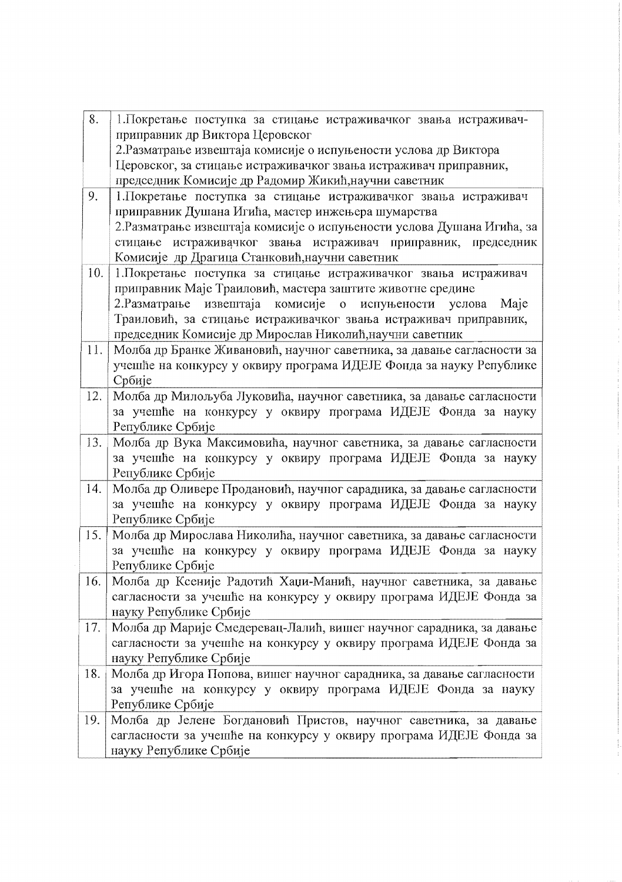| 8.  | 1. Покретање поступка за стицање истраживачког звања истраживач-       |
|-----|------------------------------------------------------------------------|
|     | приправник др Виктора Церовског                                        |
|     | 2. Разматрање извештаја комисије о испуњености услова др Виктора       |
|     | Церовског, за стицање истраживачког звања истраживач приправник,       |
|     | председник Комисије др Радомир Жикић, научни саветник                  |
| 9.  | 1. Покретање поступка за стицање истраживачког звања истраживач        |
|     | приправник Душана Игића, мастер инжењера шумарства                     |
|     | 2. Разматрање извештаја комисије о испуњености услова Душана Игића, за |
|     | стицање истраживачког звања истраживач приправник, председник          |
|     | Комисије др Драгица Станковић, научни саветник                         |
| 10. | 1. Покретање поступка за стицање истраживачког звања истраживач        |
|     | приправник Маје Траиловић, мастера заштите животне средине             |
|     | 2. Разматрање извештаја комисије о испуњености услова Маје             |
|     | Траиловић, за стицање истраживачког звања истраживач приправник,       |
|     | председник Комисије др Мирослав Николић, научни саветник               |
| 11. | Молба др Бранке Живановић, научног саветника, за давање сагласности за |
|     | учешће на конкурсу у оквиру програма ИДЕЈЕ Фонда за науку Републике    |
|     | Србије                                                                 |
| 12. | Молба др Милољуба Луковића, научног саветника, за давање сагласности   |
|     | за учешће на конкурсу у оквиру програма ИДЕЈЕ Фонда за науку           |
|     | Републике Србије                                                       |
| 13. | Молба др Вука Максимовића, научног саветника, за давање сагласности    |
|     | за учешће на конкурсу у оквиру програма ИДЕЈЕ Фонда за науку           |
|     | Републике Србије                                                       |
| 14. | Молба др Оливере Продановић, научног сарадника, за давање сагласности  |
|     | за учешће на конкурсу у оквиру програма ИДЕЈЕ Фонда за науку           |
|     | Републике Србије                                                       |
| 15. | Молба др Мирослава Николића, научног саветника, за давање сагласности  |
|     | за учешће на конкурсу у оквиру програма ИДЕЈЕ Фонда за науку           |
|     | Републике Србије                                                       |
| 16. | Молба др Ксеније Радотић Хаџи-Манић, научног саветника, за давање      |
|     | сагласности за учешће на конкурсу у оквиру програма ИДЕЈЕ Фонда за     |
|     | науку Републике Србије                                                 |
| 17. | Молба др Марије Смедеревац-Лалић, вишег научног сарадника, за давање   |
|     | сагласности за учешће на конкурсу у оквиру програма ИДЕЈЕ Фонда за     |
|     | науку Републике Србије                                                 |
| 18. | Молба др Игора Попова, вишег научног сарадника, за давање сагласности  |
|     | за учешће на конкурсу у оквиру програма ИДЕЈЕ Фонда за науку           |
|     | Републике Србије                                                       |
| 19. | Молба др Јелене Богдановић Пристов, научног саветника, за давање       |
|     | сагласности за учешће на конкурсу у оквиру програма ИДЕЈЕ Фонда за     |
|     | науку Републике Србије                                                 |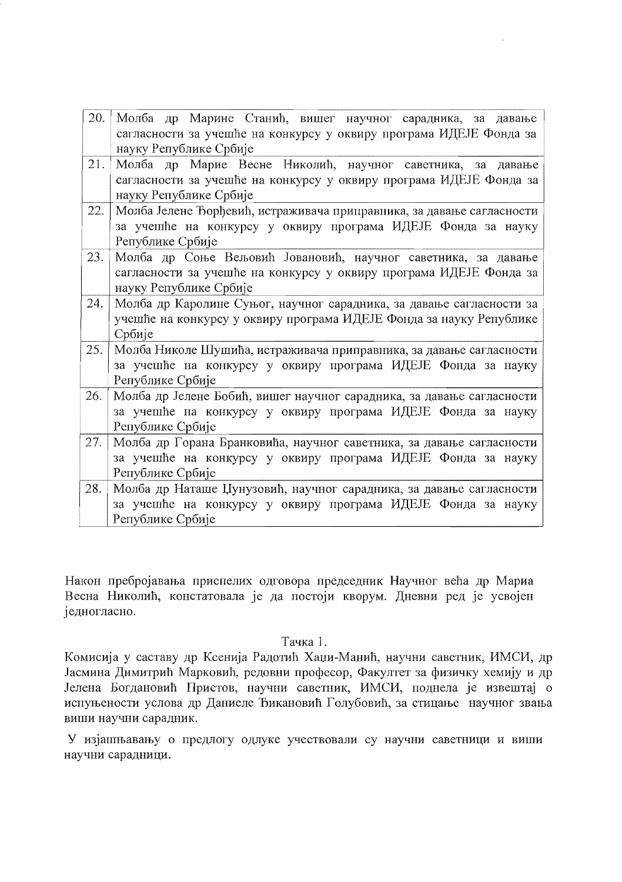| 20. | Молба др Марине Станић, вишег научног сарадника, за давање            |
|-----|-----------------------------------------------------------------------|
|     | сагласности за учешће на конкурсу у оквиру програма ИДЕЈЕ Фонда за    |
|     | науку Републике Србије                                                |
| 21. | Молба др Марие Весне Николић, научног саветника, за давање            |
|     | сагласности за учешће на конкурсу у оквиру програма ИДЕЈЕ Фонда за    |
|     | науку Републике Србије                                                |
| 22. | Молба Јелене Ђорђевић, истраживача приправника, за давање сагласности |
|     | за учешће на конкурсу у оквиру програма ИДЕЈЕ Фонда за науку          |
|     | Републике Србије                                                      |
| 23. | Молба др Соње Вељовић Јовановић, научног саветника, за давање         |
|     | сагласности за учешће на конкурсу у оквиру програма ИДЕЈЕ Фонда за    |
|     | науку Републике Србије                                                |
| 24. | Молба др Каролине Суњог, научног сарадника, за давање сагласности за  |
|     | учешће на конкурсу у оквиру програма ИДЕЈЕ Фонда за науку Републике   |
|     | Србије                                                                |
| 25. | Молба Николе Шушића, истраживача приправника, за давање сагласности   |
|     | за учешће на конкурсу у оквиру програма ИДЕЈЕ Фонда за науку          |
|     | Републике Србије                                                      |
| 26. | Молба др Јелене Бобић, вишег научног сарадника, за давање сагласности |
|     | за учешће на конкурсу у оквиру програма ИДЕЈЕ Фонда за науку          |
|     | Републике Србије                                                      |
| 27. | Молба др Горана Бранковића, научног саветника, за давање сагласности  |
|     | за учешће на конкурсу у оквиру програма ИДЕЈЕ Фонда за науку          |
|     | Републике Србије                                                      |
| 28. | Молба др Наташе Џунузовић, научног сарадника, за давање сагласности   |
|     | за учешће на конкурсу у оквиру програма ИДЕЈЕ Фонда за науку          |
|     | Републике Србије                                                      |

 $\bar{\mathcal{A}}$ 

Након пребројавања приспелих одговора председник Научног већа др Мариа Весна Николић, констатовала је да постоји кворум. Дневни ред је усвојен једногласно.

## Тачка 1.

Комисија у саставу др Ксенија Радотић Хаџи-Манић, научни саветник, ИМСИ, др Јасмина Димитрић Марковић, редовни професор, Факултет за физичку хемију и др Јелена Богдановић Пристов, научни саветник, ИМСИ, поднела је извештај о испуњености услова др Даниеле Ђикановић Голубовић, за стицање научног звања виши научни сарадник.

У изјашњавању о предлогу одлуке учествовали су научни саветници и виши научни сарадници.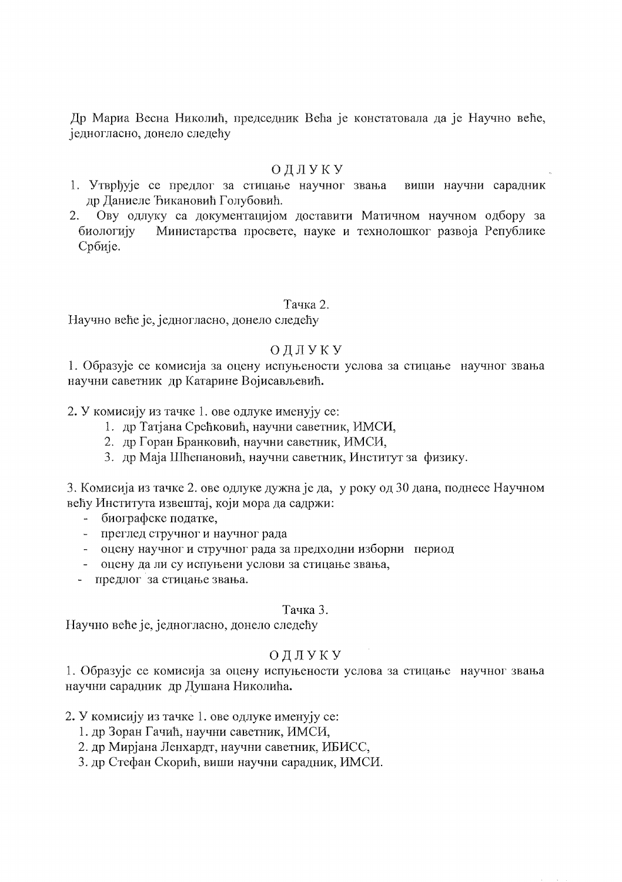Др Мариа Весна Николић, председник Већа је констатовала да је Научно веће, једногласно, донело следећу

## ОДЛУКУ

- 1. Утврђује се предлог за стицање научног звања виши научни сарадник др Даниеле Ђикановић Голубовић.
- 2. Ову одлуку са документацијом доставити Матичном научном одбору за Министарства просвете, науке и технолошког развоја Републике биологију Србије.

## Тачка 2.

Научно веће је, једногласно, донело следећу

## ОДЛУКУ

1. Образује се комисија за оцену испуњености услова за стицање научног звања научни саветник др Катарине Војисављевић.

2. У комисију из тачке 1. ове одлуке именују се:

- 1. др Татјана Срећковић, научни саветник, ИМСИ,
- 2. др Горан Бранковић, научни саветник, ИМСИ,
- 3. др Маја Шћепановић, научни саветник, Институт за физику.

3. Комисија из тачке 2. ове одлуке дужна је да, у року од 30 дана, поднесе Научном већу Института извештај, који мора да садржи:

- биографске податке,
- преглед стручног и научног рада
- оцену научног и стручног рада за предходни изборни период
- оцену да ли су испуњени услови за стицање звања,
- предлог за стицање звања.

## Тачка 3.

Научно веће је, једногласно, донело следећу

# ОДЛУКУ

1. Образује се комисија за оцену испуњености услова за стицање научног звања научни сарадник др Душана Николића.

- 2. У комисију из тачке 1. ове одлуке именују се:
	- 1. др Зоран Гачић, научни саветник, ИМСИ,
	- 2. др Мирјана Ленхардт, научни саветник, ИБИСС,
	- 3. др Стефан Скорић, виши научни сарадник, ИМСИ.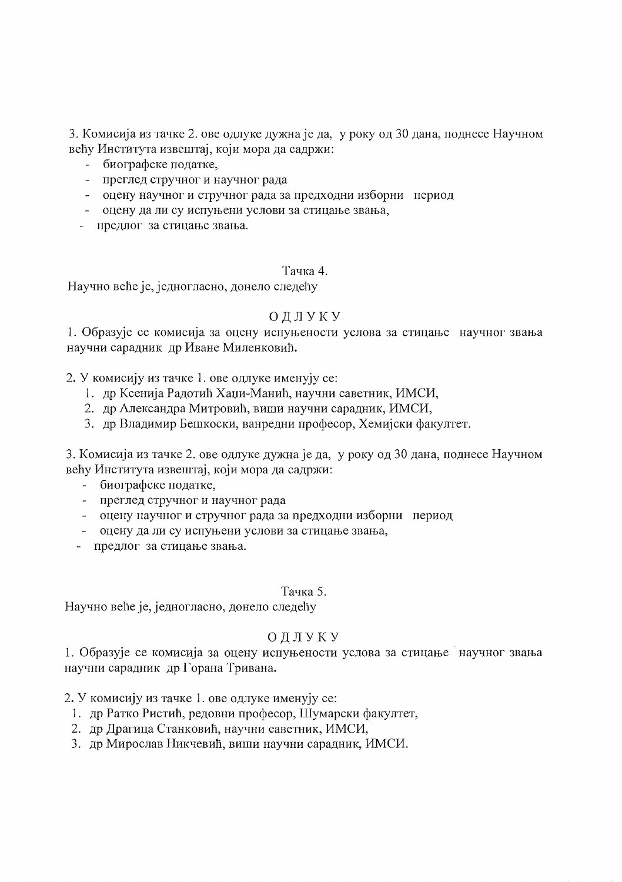3. Комисија из тачке 2. ове одлуке дужна је да, у року од 30 дана, поднесе Научном већу Института извештај, који мора да садржи:

- биографске податке,
- преглед стручног и научног рада
- оцену научног и стручног рада за предходни изборни период
- оцену да ли су испуњени услови за стицање звања,
- предлог за стицање звања.

## Тачка 4.

Научно веће је, једногласно, донело следећу

# ОДЛУКУ

1. Образује се комисија за оцену испуњености услова за стицање научног звања научни сарадник др Иване Миленковић.

# 2. У комисију из тачке 1. ове одлуке именују се:

- 1. др Ксенија Радотић Хаџи-Манић, научни саветник, ИМСИ,
- 2. др Александра Митровић, виши научни сарадник, ИМСИ,
- 3. др Владимир Бешкоски, ванредни професор, Хемијски факултет.

3. Комисија из тачке 2. ове одлуке дужна је да, у року од 30 дана, поднесе Научном већу Института извештај, који мора да садржи:

- биографске податке,
- преглед стручног и научног рада
- оцену научног и стручног рада за предходни изборни период
- оцену да ли су испуњени услови за стицање звања,
- предлог за стицање звања.

## Тачка 5.

Научно веће је, једногласно, донело следећу

# ОДЛУКУ

1. Образује се комисија за оцену испуњености услова за стицање научног звања научни сарадник др Горана Тривана.

2. У комисију из тачке 1. ове одлуке именују се:

- 1. др Ратко Ристић, редовни професор, Шумарски факултет,
- 2. др Драгица Станковић, научни саветник, ИМСИ,
- 3. др Мирослав Никчевић, виши научни сарадник, ИМСИ.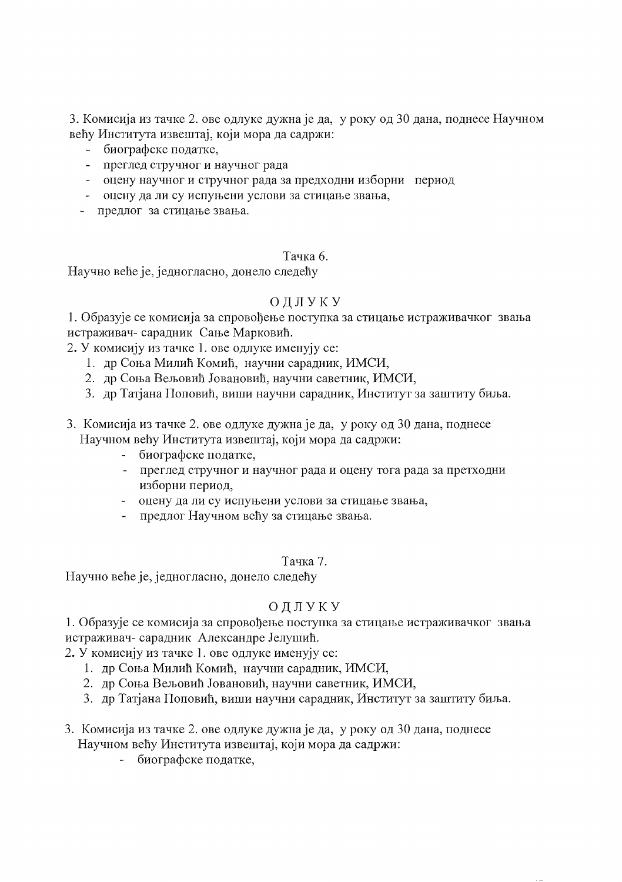3. Комисија из тачке 2. ове одлуке дужна је да, у року од 30 дана, поднесе Научном већу Института извештај, који мора да садржи:

- биографске податке,
- преглед стручног и научног рада
- оцену научног и стручног рада за предходни изборни период
- оцену да ли су испуњени услови за стицање звања,
- предлог за стицање звања.

# Тачка 6.

Научно веће је, једногласно, донело следећу

# ОДЛУКУ

1. Образује се комисија за спровођење поступка за стицање истраживачког звања истраживач- сарадник Сање Марковић.

2. У комисију из тачке 1. ове одлуке именују се:

- 1. др Соња Милић Комић, научни сарадник, ИМСИ,
- 2. др Соња Вељовић Јовановић, научни саветник, ИМСИ,
- 3. др Татјана Поповић, виши научни сарадник, Институт за заштиту биља.
- 3. Комисија из тачке 2. ове одлуке дужна је да, у року од 30 дана, поднесе Научном већу Института извештај, који мора да садржи:
	- биографске податке,
	- преглед стручног и научног рада и оцену тога рада за претходни изборни период,
	- оцену да ли су испуњени услови за стицање звања,
	- предлог Научном већу за стицање звања.

# Тачка 7.

Научно веће је, једногласно, донело следећу

# ОДЛУКУ

1. Образује се комисија за спровођење поступка за стицање истраживачког звања истраживач- сарадник Александре Јелушић.

2. У комисију из тачке 1. ове одлуке именују се:

- 1. др Соња Милић Комић, научни сарадник, ИМСИ,
- 2. др Соња Вељовић Јовановић, научни саветник, ИМСИ,
- 3. др Татјана Поповић, виши научни сарадник, Институт за заштиту биља.
- 3. Комисија из тачке 2. ове одлуке дужна је да, у року од 30 дана, поднесе Научном већу Института извештај, који мора да садржи:
	- биографске податке,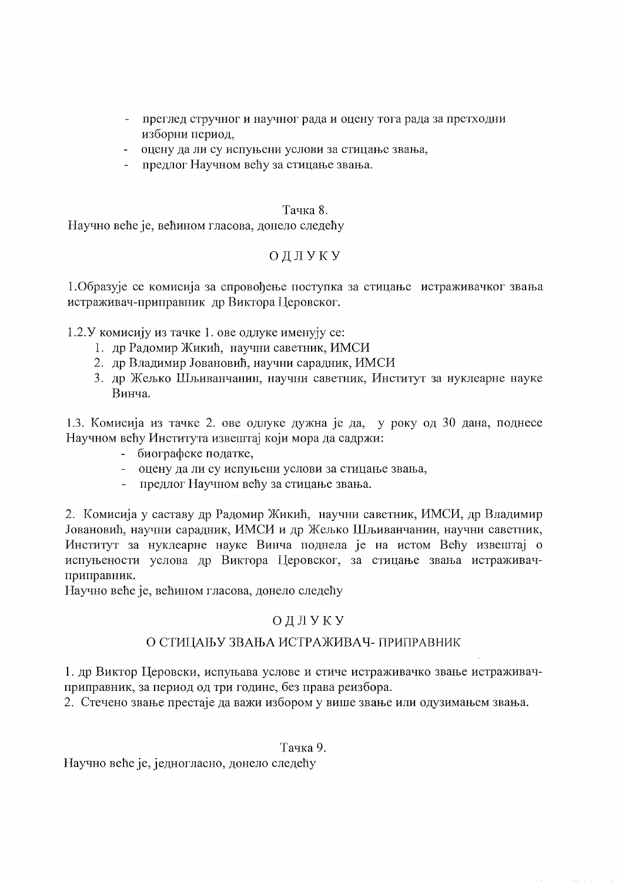- преглед стручног и научног рада и оцену тога рада за претходни изборни период,
- оцену да ли су испуњени услови за стицање звања,
- предлог Научном већу за стицање звања.

### Тачка 8.

Научно веће је, већином гласова, донело следећу

# ОДЛУКУ

1. Образује се комисија за спровођење поступка за стицање истраживачког звања истраживач-приправник др Виктора Церовског.

1.2. У комисију из тачке 1. ове одлуке именују се:

- 1. др Радомир Жикић, научни саветник, ИМСИ
- 2. др Владимир Јовановић, научни сарадник, ИМСИ
- 3. др Жељко Шљиванчанин, научни саветник, Институт за нуклеарне науке Винча.

1.3. Комисија из тачке 2. ове одлуке дужна је да, у року од 30 дана, поднесе Научном већу Института извештај који мора да садржи:

- биографске податке,
- оцену да ли су испуњени услови за стицање звања,
- предлог Научном већу за стицање звања.

2. Комисија у саставу др Радомир Жикић, научни саветник, ИМСИ, др Владимир Јовановић, научни сарадник, ИМСИ и др Жељко Шљиванчанин, научни саветник, Институт за нуклеарне науке Винча поднела је на истом Већу извештај о испуњености услова др Виктора Церовског, за стицање звања истраживачприправник.

Научно веће је, већином гласова, донело следећу

# ОДЛУКУ

# О СТИЦАЊУ ЗВАЊА ИСТРАЖИВАЧ- ПРИПРАВНИК

1. др Виктор Церовски, испуњава услове и стиче истраживачко звање истраживачприправник, за период од три године, без права реизбора.

2. Стечено звање престаје да важи избором у више звање или одузимањем звања.

Тачка 9.

Научно веће је, једногласно, донело следећу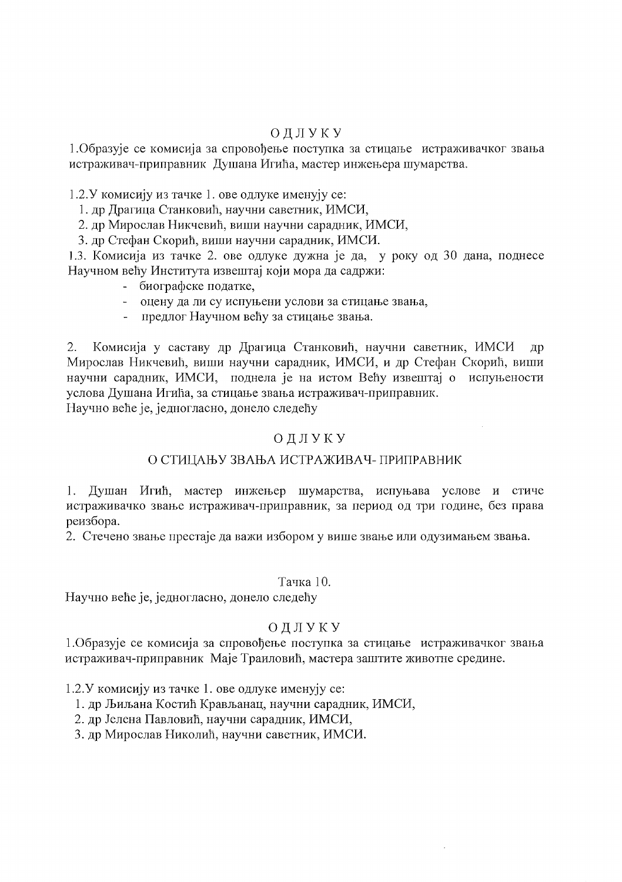## ОДЛУКУ

1. Образује се комисија за спровођење поступка за стицање истраживачког звања истраживач-приправник Душана Игића, мастер инжењера шумарства.

1.2.У комисију из тачке 1. ове одлуке именују се:

- 1. др Драгица Станковић, научни саветник, ИМСИ,
- 2. др Мирослав Никчевић, виши научни сарадник, ИМСИ,
- 3. др Стефан Скорић, виши научни сарадник, ИМСИ.

1.3. Комисија из тачке 2. ове одлуке дужна је да, у року од 30 дана, поднесе Научном већу Института извештај који мора да садржи:

- биографске податке,
- оцену да ли су испуњени услови за стицање звања,
- предлог Научном већу за стицање звања.

Комисија у саставу др Драгица Станковић, научни саветник, ИМСИ 2. др Мирослав Никчевић, виши научни сарадник, ИМСИ, и др Стефан Скорић, виши научни сарадник, ИМСИ, поднела је на истом Већу извештај о испуњености услова Душана Игића, за стицање звања истраживач-приправник. Научно веће је, једногласно, донело следећу

## ОДЛУКУ

# О СТИЦАЊУ ЗВАЊА ИСТРАЖИВАЧ- ПРИПРАВНИК

1. Душан Игић, мастер инжењер шумарства, испуњава услове и стиче истраживачко звање истраживач-приправник, за период од три године, без права реизбора.

2. Стечено звање престаје да важи избором у више звање или одузимањем звања.

#### Тачка 10.

Научно веће је, једногласно, донело следећу

# ОДЛУКУ

1. Образује се комисија за спровођење поступка за стицање истраживачког звања истраживач-приправник Маје Траиловић, мастера заштите животне средине.

1.2. У комисију из тачке 1. ове одлуке именују се:

- 1. др Љиљана Костић Крављанац, научни сарадник, ИМСИ,
- 2. др Јелена Павловић, научни сарадник, ИМСИ,
- 3. др Мирослав Николић, научни саветник, ИМСИ.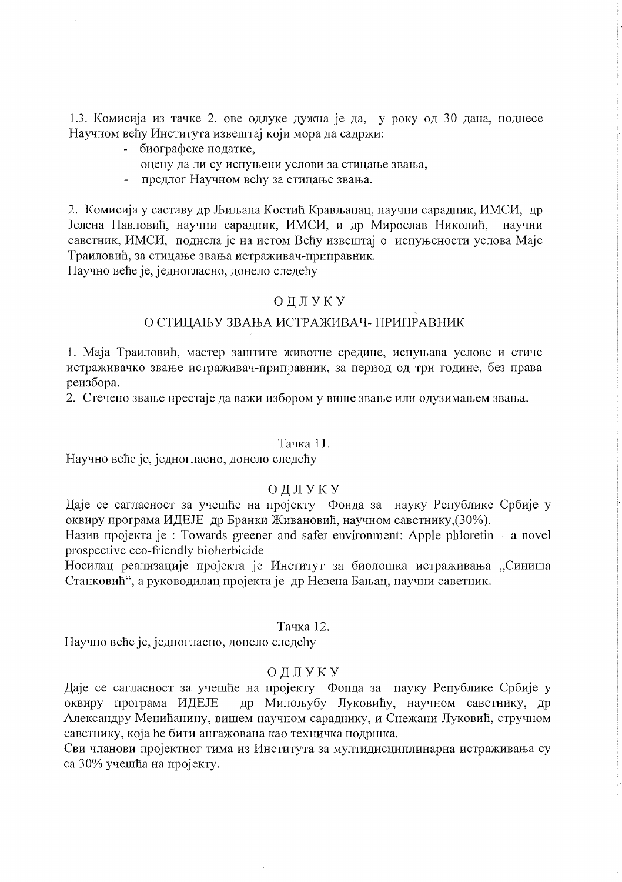1.3. Комисија из тачке 2. ове одлуке дужна је да, у року од 30 дана, поднесе Научном већу Института извештај који мора да садржи:

- биографске податке,
- оцену да ли су испуњени услови за стицање звања,
- предлог Научном већу за стицање звања.

2. Комисија у саставу др Љиљана Костић Крављанац, научни сарадник, ИМСИ, др Јелена Павловић, научни сарадник, ИМСИ, и др Мирослав Николић, научни саветник, ИМСИ, поднела је на истом Већу извештај о испуњености услова Маје Траиловић, за стицање звања истраживач-приправник.

Научно веће је, једногласно, донело следећу

## ОДЛУКУ

## О СТИЦАЊУ ЗВАЊА ИСТРАЖИВАЧ- ПРИПРАВНИК

1. Маја Траиловић, мастер заштите животне средине, испуњава услове и стиче истраживачко звање истраживач-приправник, за период од три године, без права реизбора.

2. Стечено звање престаје да важи избором у више звање или одузимањем звања.

#### Тачка 11.

Научно веће је, једногласно, донело следећу

## ОДЛУКУ

Даје се сагласност за учешће на пројекту Фонда за науку Републике Србије у оквиру програма ИДЕЈЕ др Бранки Живановић, научном саветнику. (30%).

Назив пројекта је : Towards greener and safer environment: Apple phloretin – a novel prospective eco-friendly bioherbicide

Носилац реализације пројекта је Институт за биолошка истраживања "Синиша Станковић", а руководилац пројекта је др Невена Бањац, научни саветник.

## Тачка 12.

Научно веће је, једногласно, донело следећу

## ОДЛУКУ

Даје се сагласност за учешће на пројекту Фонда за науку Републике Србије у оквиру програма ИДЕЈЕ др Милољубу Луковићу, научном саветнику, др Александру Менићанину, вишем научном сараднику, и Снежани Луковић, стручном саветнику, која ће бити ангажована као техничка подршка.

Сви чланови пројектног тима из Института за мултидисциплинарна истраживања су са 30% учешћа на пројекту.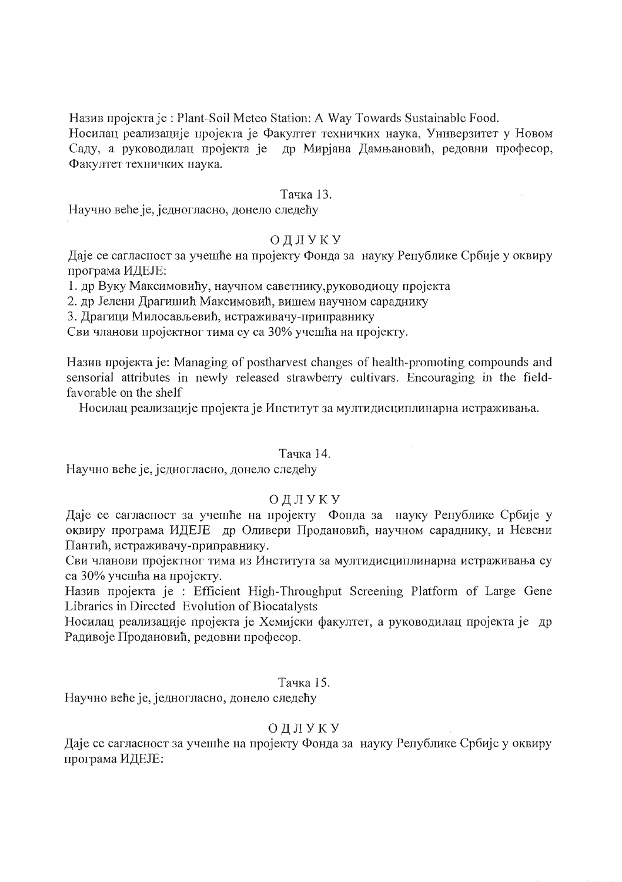Назив пројекта је: Plant-Soil Meteo Station: A Way Towards Sustainable Food.

Носилац реализације пројекта је Факултет техничких наука, Универзитет у Новом Саду, а руководилац пројекта је др Мирјана Дамњановић, редовни професор, Факултет техничких наука.

## Тачка 13.

Научно веће је, једногласно, донело следећу

# ОДЛУКУ

Даје се сагласност за учешће на пројекту Фонда за науку Републике Србије у оквиру програма ИДЕЈЕ:

1. др Вуку Максимовићу, научном саветнику, руководиоцу пројекта

2. др Јелени Драгишић Максимовић, вишем научном сараднику

3. Драгици Милосављевић, истраживачу-приправнику

Сви чланови пројектног тима су са 30% учешћа на пројекту.

Назив пројекта је: Managing of postharvest changes of health-promoting compounds and sensorial attributes in newly released strawberry cultivars. Encouraging in the fieldfavorable on the shelf

Носилац реализације пројекта је Институт за мултидисциплинарна истраживања.

#### Тачка 14.

 $\bar{z}$ 

Научно веће је, једногласно, донело следећу

## ОДЛУКУ

Даје се сагласност за учешће на пројекту Фонда за науку Републике Србије у оквиру програма ИДЕЈЕ др Оливери Продановић, научном сараднику, и Невени Пантић, истраживачу-приправнику.

Сви чланови пројектног тима из Института за мултидисциплинарна истраживања су са 30% учешћа на пројекту.

Назив пројекта је : Efficient High-Throughput Screening Platform of Large Gene Libraries in Directed Evolution of Biocatalysts

Носилац реализације пројекта је Хемијски факултет, а руководилац пројекта је др Радивоје Продановић, редовни професор.

## Тачка 15.

Научно веће је, једногласно, донело следећу

## ОДЛУКУ

Даје се сагласност за учешће на пројекту Фонда за науку Републике Србије у оквиру програма ИДЕЈЕ: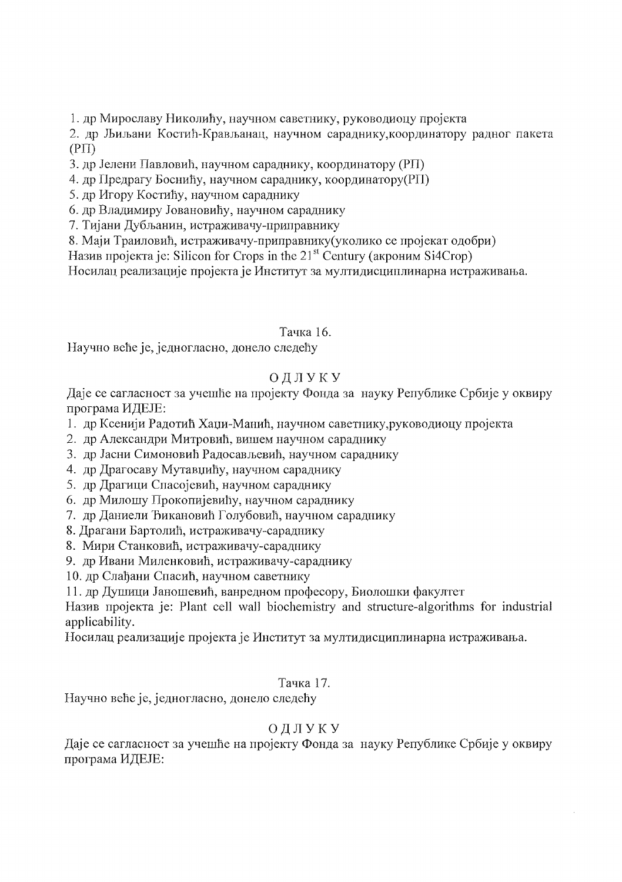1. др Мирославу Николићу, научном саветнику, руководиоцу пројекта

2. др Љиљани Костић-Крављанац, научном сараднику, координатору радног пакета  $(PII)$ 

3. др Јелени Павловић, научном сараднику, координатору (РП)

4. др Предрагу Боснићу, научном сараднику, координатору(РП)

5. др Игору Костићу, научном сараднику

6. др Владимиру Јовановићу, научном сараднику

7. Тијани Дубљанин, истраживачу-приправнику

8. Маји Траиловић, истраживачу-приправнику (уколико се пројекат одобри)

Назив пројекта је: Silicon for Crops in the 21<sup>st</sup> Century (акроним Si4Crop)

Носилац реализације пројекта је Институт за мултидисциплинарна истраживања.

Тачка 16.

Научно веће је, једногласно, донело следећу

# ОДЛУКУ

Даје се сагласност за учешће на пројекту Фонда за науку Републике Србије у оквиру програма ИДЕЈЕ:

- 1. др Ксенији Радотић Хаџи-Манић, научном саветнику, руководиоцу пројекта
- 2. др Александри Митровић, вишем научном сараднику
- 3. др Јасни Симоновић Радосављевић, научном сараднику
- 4. др Драгосаву Мутавџићу, научном сараднику
- 5. др Драгици Спасојевић, научном сараднику
- 6. др Милошу Прокопијевићу, научном сараднику
- 7. др Даниели Ђикановић Голубовић, научном сараднику
- 8. Драгани Бартолић, истраживачу-сараднику
- 8. Мири Станковић, истраживачу-сараднику
- 9. др Ивани Миленковић, истраживачу-сараднику

10. др Слађани Спасић, научном саветнику

11. др Душици Јаношевић, ванредном професору, Биолошки факултет

Назив пројекта је: Plant cell wall biochemistry and structure-algorithms for industrial applicability.

Носилац реализације пројекта је Институт за мултидисциплинарна истраживања.

# Тачка 17.

Научно веће је, једногласно, донело следећу

# ОДЛУКУ

Даје се сагласност за учешће на пројекту Фонда за науку Републике Србије у оквиру програма ИДЕЈЕ: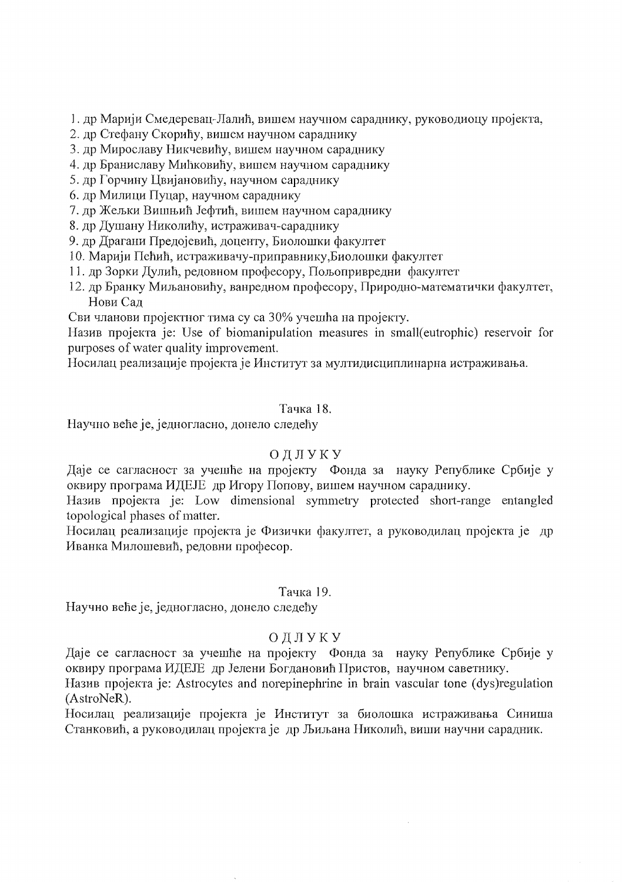1. др Марији Смедеревац-Лалић, вишем научном сараднику, руководиоцу пројекта,

- 2. др Стефану Скорићу, вишем научном сараднику
- 3. др Мирославу Никчевићу, вишем научном сараднику
- 4. др Браниславу Мићковићу, вишем научном сараднику
- 5. др Горчину Цвијановићу, научном сараднику
- 6. др Милици Пуцар, научном сараднику
- 7. др Жељки Вишњић Јефтић, вишем научном сараднику

8. др Душану Николићу, истраживач-сараднику

9. др Драгани Предојевић, доценту, Биолошки факултет

- 10. Марији Пећић, истраживачу-приправнику, Биолошки факултет
- 11. др Зорки Дулић, редовном професору, Пољопривредни факултет
- 12. др Бранку Миљановићу, ванредном професору, Природно-математички факултет, Нови Сад

Сви чланови пројектног тима су са 30% учешћа на пројекту.

Назив пројекта је: Use of biomanipulation measures in small(eutrophic) reservoir for purposes of water quality improvement.

Носилац реализације пројекта је Институт за мултидисциплинарна истраживања.

# Тачка 18.

Научно веће је, једногласно, донело следећу

# ОДЛУКУ

Даје се сагласност за учешће на пројекту Фонда за науку Републике Србије у оквиру програма ИДЕЈЕ др Игору Попову, вишем научном сараднику.

Haзив пројекта је: Low dimensional symmetry protected short-range entangled topological phases of matter.

Носилац реализације пројекта је Физички факултет, а руководилац пројекта је др Иванка Милошевић, редовни професор.

## Тачка 19.

Научно веће је, једногласно, донело следећу

# ОДЛУКУ

Даје се сагласност за учешће на пројекту Фонда за науку Републике Србије у оквиру програма ИДЕЈЕ др Јелени Богдановић Пристов, научном саветнику.

Назив пројекта је: Astrocytes and norepinephrine in brain vascular tone (dys)regulation (AstroNeR).

Носилац реализације пројекта је Институт за биолошка истраживања Синиша Станковић, а руководилац пројекта је др Љиљана Николић, виши научни сарадник.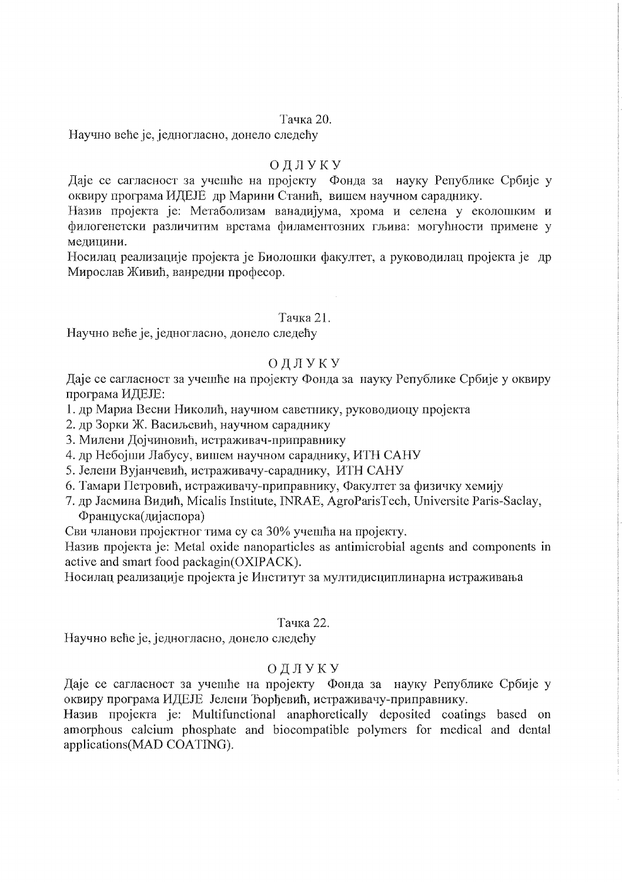### Тачка 20.

Научно веће је, једногласно, донело следећу

### ОДЛУКУ

Даје се сагласност за учешће на пројекту Фонда за науку Републике Србије у оквиру програма ИДЕЈЕ др Марини Станић, вишем научном сараднику.

Назив пројекта је: Метаболизам ванадијума, хрома и селена у еколошким и филогенетски различитим врстама филаментозних гљива: могућности примене у медицини.

Носилац реализације пројекта је Биолошки факултет, а руководилац пројекта је др Мирослав Живић, ванредни професор.

## Тачка 21.

Научно веће је, једногласно, донело следећу

# ОДЛУКУ

Даје се сагласност за учешће на пројекту Фонда за науку Републике Србије у оквиру програма ИДЕЈЕ:

1. др Мариа Весни Николић, научном саветнику, руководиоцу пројекта

2. др Зорки Ж. Васиљевић, научном сараднику

3. Милени Дојчиновић, истраживач-приправнику

4. др Небојши Лабусу, вишем научном сараднику, ИТН САНУ

5. Јелени Вујанчевић, истраживачу-сараднику, ИТН САНУ

6. Тамари Петровић, истраживачу-приправнику, Факултет за физичку хемију

7. др Јасмина Видић, Micalis Institute, INRAE, AgroParisTech, Universite Paris-Saclay, Француска(дијаспора)

Сви чланови пројектног тима су са 30% учешћа на пројекту.

Назив пројекта је: Metal oxide nanoparticles as antimicrobial agents and components in active and smart food packagin(OXIPACK).

Носилац реализације пројекта је Институт за мултидисциплинарна истраживања

#### Тачка 22.

Научно веће је, једногласно, донело следећу

## ОДЛУКУ

Даје се сагласност за учешће на пројекту Фонда за науку Републике Србије у оквиру програма ИДЕЈЕ Јелени Ђорђевић, истраживачу-приправнику.

Назив пројекта је: Multifunctional anaphoretically deposited coatings based on amorphous calcium phosphate and biocompatible polymers for medical and dental applications(MAD COATING).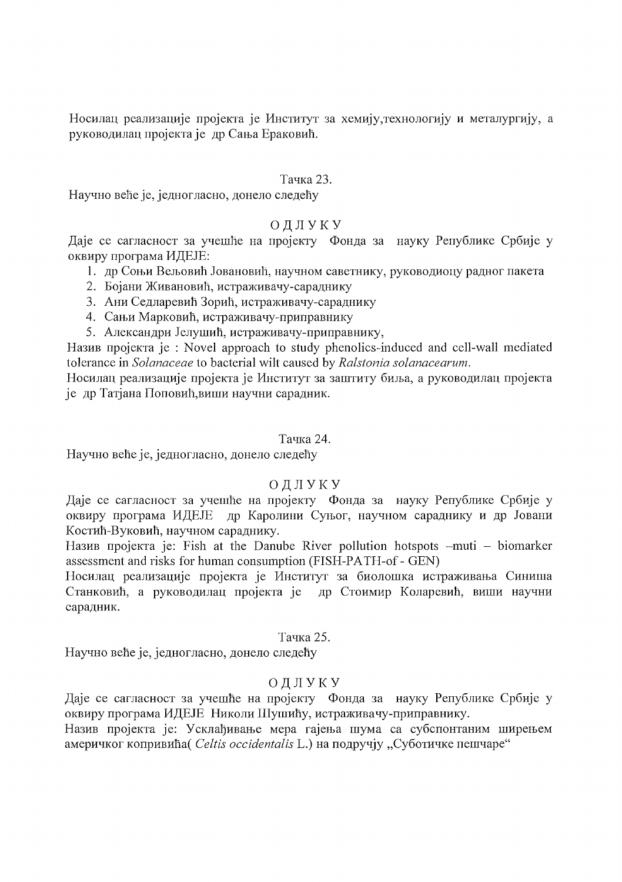Носилац реализације пројекта је Институт за хемију, технологију и металургију, а руководилац пројекта је др Сања Ераковић.

## Тачка 23.

Научно веће је, једногласно, донело следећу

# ОДЛУКУ

Даје се сагласност за учешће на пројекту Фонда за науку Републике Србије у оквиру програма ИДЕЈЕ:

- 1. др Соњи Вељовић Јовановић, научном саветнику, руководиоцу радног пакета
- 2. Бојани Живановић, истраживачу-сараднику
- 3. Ани Седларевић Зорић, истраживачу-сараднику
- 4. Сањи Марковић, истраживачу-приправнику
- 5. Александри Јелушић, истраживачу-приправнику,

Назив пројекта је : Novel approach to study phenolics-induced and cell-wall mediated tolerance in Solanaceae to bacterial wilt caused by Ralstonia solanacearum.

Носилац реализације пројекта је Институт за заштиту биља, а руководилац пројекта је др Татјана Поповић, виши научни сарадник.

# Тачка 24.

Научно веће је, једногласно, донело следећу

# ОДЛУКУ

Даје се сагласност за учешће на пројекту Фонда за науку Републике Србије у оквиру програма ИДЕЈЕ др Каролини Суњог, научном сараднику и др Јовани Костић-Вуковић, научном сараднику.

Назив пројекта је: Fish at the Danube River pollution hotspots  $-muti - biomarker$ assessment and risks for human consumption (FISH-PATH-of - GEN)

Носилац реализације пројекта је Институт за биолошка истраживања Синиша Станковић, а руководилац пројекта је др Стоимир Коларевић, виши научни сарадник.

# Тачка 25.

Научно веће је, једногласно, донело следећу

# ОДЛУКУ

Даје се сагласност за учешће на пројекту Фонда за науку Републике Србије у оквиру програма ИДЕЈЕ Николи Шушићу, истраживачу-приправнику.

Назив пројекта је: Усклађивање мера гајења шума са субспонтаним ширењем америчког копривића (Celtis occidentalis L.) на подручју "Суботичке пешчаре"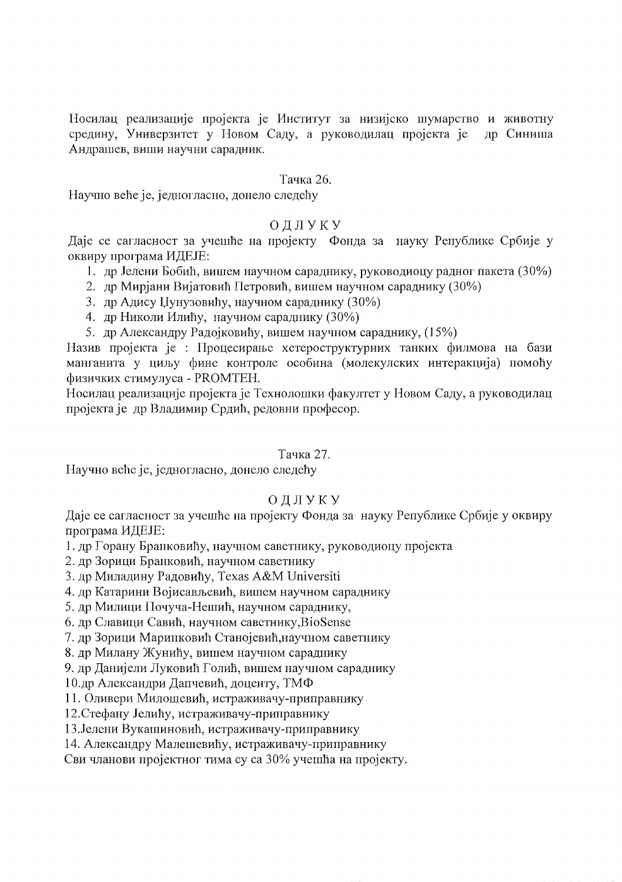Носилац реализације пројекта је Институт за низијско шумарство и животну средину, Универзитет у Новом Саду, а руководилац пројекта је лр Синиша Андрашев, виши научни сарадник.

### Тачка 26.

Научно веће је, једногласно, донело следећу

## ОДЛУКУ

Даје се сагласност за учешће на пројекту Фонда за науку Републике Србије у оквиру програма ИДЕЈЕ:

- 1. др Јелени Бобић, вишем научном сараднику, руководиоцу радног пакета (30%)
- 2. др Мирјани Вијатовић Петровић, вишем научном сараднику (30%)
- 3. др Адису Џунузовићу, научном сараднику (30%)
- 4. др Николи Илићу, научном сараднику (30%)
- 5. др Александру Радојковићу, вишем научном сараднику, (15%)

Назив пројекта је : Процесирање хетероструктурних танких филмова на бази манганита у циљу фине контроле особина (молекулских интеракција) помоћу физичких стимулуса - PROMTEH.

Носилац реализације пројекта је Технолошки факултет у Новом Саду, а руководилац пројекта је др Владимир Срдић, редовни професор.

#### Тачка 27.

Научно веће је, једногласно, донело следећу

## ОДЛУКУ

Даје се сагласност за учешће на пројекту Фонда за науку Републике Србије у оквиру програма ИДЕЈЕ:

1. др Горану Бранковићу, научном саветнику, руководиоцу пројекта

2. др Зорици Бранковић, научном саветнику

3. др Миладину Радовићу, Texas A&M Universiti

4. др Катарини Војисављевић, вишем научном сараднику

5. др Милици Почуча-Нешић, научном сараднику,

6. др Славици Савић, научном саветнику, BioSense

7. др Зорици Маринковић Станојевић, научном саветнику

8. др Милану Жунићу, вишем научном сараднику

9. др Данијели Луковић Голић, вишем научном сараднику

10.др Александри Дапчевић, доценту, ТМФ

11. Оливери Милошевић, истраживачу-приправнику

12. Стефану Јелићу, истраживачу-приправнику

13. Јелени Вукашиновић, истраживачу-приправнику

14. Александру Малешевићу, истраживачу-приправнику

Сви чланови пројектног тима су са 30% учешћа на пројекту.